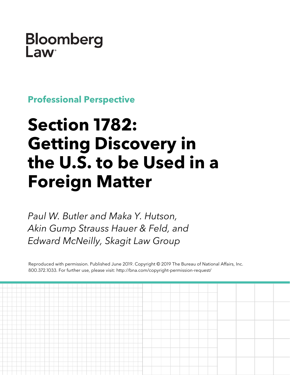## **Bloomberg** Law

**Professional Perspective**

# **Section 1782: Getting Discovery in the U.S. to be Used in a Foreign Matter**

*Paul W. Butler and Maka Y. Hutson, Akin Gump Strauss Hauer & Feld, and Edward McNeilly, Skagit Law Group*

Reproduced with permission. Published June 2019. Copyright © 2019 The Bureau of National Affairs, Inc. 800.372.1033. For further use, please visit: http://bna.com/copyright-permission-request/

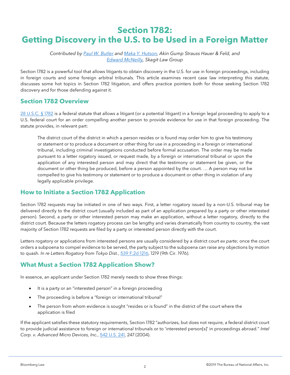### **Section 1782: Getting Discovery in the U.S. to be Used in a Foreign Matter**

*Contributed by [Paul W. Butler](https://www.akingump.com/en/lawyers-advisors/paul-w-butler.html) and [Maka Y. Hutson,](https://www.akingump.com/en/lawyers-advisors/maka-y-hutson.html) Akin Gump Strauss Hauer & Feld, and [Edward McNeilly,](https://www.linkedin.com/in/edwardjmcneilly/) Skagit Law Group*

Section 1782 is a powerful tool that allows litigants to obtain discovery in the U.S. for use in foreign proceedings, including in foreign courts and some foreign arbitral tribunals. This article examines recent case law interpreting this statute, discusses some hot topics in Section 1782 litigation, and offers practice pointers both for those seeking Section 1782 discovery and for those defending against it.

#### **Section 1782 Overview**

[28 U.S.C. §](https://www.bloomberglaw.com/citation/28%20usc%201782) 1782 is a federal statute that allows a litigant (or a potential litigant) in a foreign legal proceeding to apply to a U.S. federal court for an order compelling another person to provide evidence for use in that foreign proceeding. The statute provides, in relevant part:

The district court of the district in which a person resides or is found may order him to give his testimony or statement or to produce a document or other thing for use in a proceeding in a foreign or international tribunal, including criminal investigations conducted before formal accusation. The order may be made pursuant to a letter rogatory issued, or request made, by a foreign or international tribunal or upon the application of any interested person and may direct that the testimony or statement be given, or the document or other thing be produced, before a person appointed by the court. … A person may not be compelled to give his testimony or statement or to produce a document or other thing in violation of any legally applicable privilege.

#### **How to Initiate a Section 1782 Application**

Section 1782 requests may be initiated in one of two ways. First, a letter rogatory issued by a non-U.S. tribunal may be delivered directly to the district court (usually included as part of an application prepared by a party or other interested person). Second, a party or other interested person may make an application, without a letter rogatory, directly to the district court. Because the letters rogatory process can be lengthy and varies dramatically from country to country, the vast majority of Section 1782 requests are filed by a party or interested person directly with the court.

Letters rogatory or applications from interested persons are usually considered by a district court *ex parte*; once the court orders a subpoena to compel evidence to be served, the party subject to the subpoena can raise any objections by motion to quash. *In re Letters Rogatory from Tokyo Dist.*, [539 F.2d 1216,](https://www.bloomberglaw.com/citation/539%20f%202d%201216) 1219 (9th Cir. 1976).

#### **What Must a Section 1782 Application Show?**

In essence, an applicant under Section 1782 merely needs to show three things:

- It is a party or an "interested person" in a foreign proceeding
- The proceeding is before a "foreign or international tribunal"
- The person from whom evidence is sought "resides or is found" in the district of the court where the application is filed

If the applicant satisfies these statutory requirements, Section 1782 "authorizes, but does not require, a federal district court to provide judicial assistance to foreign or international tribunals or to 'interested person[s]' in proceedings abroad." *Intel Corp. v. Advanced Micro Devices, Inc.*, [542 U.S. 241,](https://www.bloomberglaw.com/citation/542%20us%20241) 247 (2004).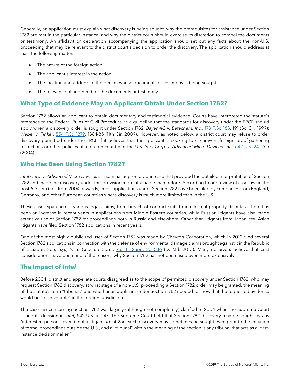Generally, an application must explain what discovery is being sought, why the prerequisites for assistance under Section 1782 are met in the particular instance, and why the district court should exercise its discretion to compel the documents or testimony. An affidavit or declaration accompanying the application should set out any facts about the non-U.S. proceeding that may be relevant to the district court's decision to order the discovery. The application should address at least the following matters:

- The nature of the foreign action
- The applicant's interest in the action
- The location and address of the person whose documents or testimony is being sought
- The relevance of and need for the documents or testimony

#### **What Type of Evidence May an Applicant Obtain Under Section 1782?**

Section 1782 allows an applicant to obtain documentary and testimonial evidence. Courts have interpreted the statute's reference to the Federal Rules of Civil Procedure as a guideline that the standards for discovery under the FRCP should apply when a discovery order is sought under Section 1782. *Bayer AG v. Betachem, Inc.*, [173 F.3d 188,](https://www.bloomberglaw.com/citation/173%20f%203d%20188) 191 (3d Cir. 1999); *Weber v. Finker*, [554 F.3d 1379,](https://www.bloomberglaw.com/citation/554%20f%203d%201379) 1384-85 (11th Cir. 2009). However, as noted below, a district court may refuse to order discovery permitted under the FRCP if it believes that the applicant is seeking to circumvent foreign proof-gathering restrictions or other policies of a foreign country or the U.S. *Intel Corp. v. Advanced Micro Devices, Inc.*, [542 U.S. 24,](https://www.bloomberglaw.com/citation/542%20us%2024) 265 (2004).

#### **Who Has Been Using Section 1782?**

*Intel Corp. v. Advanced Micro Devices* is a seminal Supreme Court case that provided the detailed interpretation of Section 1782 and made the discovery under this provision more attainable than before. According to our review of case law, in the post-*Intel* era (i.e., from 2004 onwards), most applications under Section 1782 have been filed by companies from England, Germany, and other European countries where discovery is much more limited than in the U.S.

These cases span across various legal claims, from breach of contract suits to intellectual property disputes. There has been an increase in recent years in applications from Middle Eastern countries, while Russian litigants have also made extensive use of Section 1782 for proceedings both in Russia and elsewhere. Other than litigants from Japan, few Asian litigants have filed Section 1782 applications in recent years.

One of the most highly publicized uses of Section 1782 was made by Chevron Corporation, which in 2010 filed several Section 1782 applications in connection with the defense of environmental damage claims brought against it in the Republic of Ecuador. See, e.g., *In re Chevron Corp.*, [753 F. Supp. 2d 536](https://www.bloomberglaw.com/citation/753%20f%20supp%202d%20536) (D. Md. 2010). Many observers believe that cost considerations have been one of the reasons why Section 1782 has not been used even more extensively.

#### **The Impact of** *Intel*

Before 2004, district and appellate courts disagreed as to the scope of permitted discovery under Section 1782, who may request Section 1782 discovery, at what stage of a non-U.S. proceeding a Section 1782 order may be granted, the meaning of the statute's term "tribunal," and whether an applicant under Section 1782 needed to show that the requested evidence would be "discoverable" in the foreign jurisdiction.

The case law concerning Section 1782 was largely (although not completely) clarified in 2004 when the Supreme Court issued its decision in *Intel*, 542 U.S. at 247. The Supreme Court held that Section 1782 discovery may be sought by any "interested person," even if not a litigant, *Id.* at 256, such discovery may sometimes be sought even prior to the initiation of formal proceedings outside the U.S., and a "tribunal" within the meaning of the section is any tribunal that acts as a "firstinstance decisionmaker."